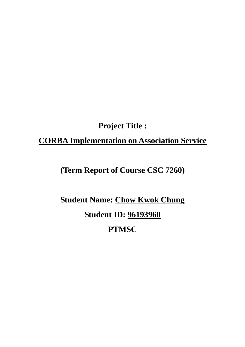# **Project Title :**

# **CORBA Implementation on Association Service**

# **(Term Report of Course CSC 7260)**

# **Student Name: Chow Kwok Chung Student ID: 96193960 PTMSC**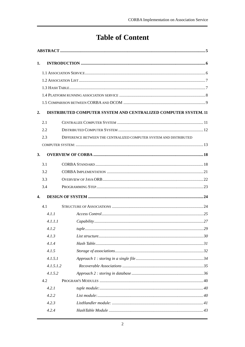# **Table of Content**

| 1.           |                                                                 |                                                                    |  |  |  |  |
|--------------|-----------------------------------------------------------------|--------------------------------------------------------------------|--|--|--|--|
|              |                                                                 |                                                                    |  |  |  |  |
|              |                                                                 |                                                                    |  |  |  |  |
|              |                                                                 |                                                                    |  |  |  |  |
|              |                                                                 |                                                                    |  |  |  |  |
|              |                                                                 |                                                                    |  |  |  |  |
| 2.           | DISTRIBUTED COMPUTER SYSTEM AND CENTRALIZED COMPUTER SYSTEM. 11 |                                                                    |  |  |  |  |
|              | 2.1                                                             |                                                                    |  |  |  |  |
|              | 2.2                                                             |                                                                    |  |  |  |  |
|              | 2.3                                                             | DIFFERENCE BETWEEN THE CENTRALIZED COMPUTER SYSTEM AND DISTRIBUTED |  |  |  |  |
|              |                                                                 |                                                                    |  |  |  |  |
|              |                                                                 |                                                                    |  |  |  |  |
| 3.           |                                                                 |                                                                    |  |  |  |  |
|              | 3.1                                                             |                                                                    |  |  |  |  |
|              | 3.2                                                             |                                                                    |  |  |  |  |
|              | 3.3                                                             |                                                                    |  |  |  |  |
|              | 3.4                                                             |                                                                    |  |  |  |  |
| $\mathbf{4}$ |                                                                 |                                                                    |  |  |  |  |
|              | 4.1                                                             |                                                                    |  |  |  |  |
|              | 4.1.1                                                           |                                                                    |  |  |  |  |
|              | 4.1.1.1                                                         |                                                                    |  |  |  |  |
|              | 4.1.2                                                           |                                                                    |  |  |  |  |
|              | 4.1.3                                                           |                                                                    |  |  |  |  |
|              | 4.1.4                                                           |                                                                    |  |  |  |  |
|              | 4.1.5                                                           |                                                                    |  |  |  |  |
|              | 4.1.5.1                                                         |                                                                    |  |  |  |  |
|              | 4.1.5.1.2                                                       |                                                                    |  |  |  |  |
|              | 4.1.5.2                                                         |                                                                    |  |  |  |  |
|              | 4.2                                                             |                                                                    |  |  |  |  |
|              | 4.2.1                                                           |                                                                    |  |  |  |  |
|              | 4.2.2                                                           |                                                                    |  |  |  |  |
|              | 4.2.3                                                           |                                                                    |  |  |  |  |
|              | 4.2.4                                                           |                                                                    |  |  |  |  |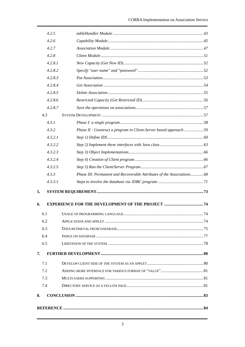|    | 4.2.5      |                                                                        |  |  |  |  |  |
|----|------------|------------------------------------------------------------------------|--|--|--|--|--|
|    | 4.2.6      |                                                                        |  |  |  |  |  |
|    | 4.2.7      |                                                                        |  |  |  |  |  |
|    | 4.2.8      |                                                                        |  |  |  |  |  |
|    | 4.2.8.1    |                                                                        |  |  |  |  |  |
|    | 4.2.8.2    |                                                                        |  |  |  |  |  |
|    | 4.2.8.3    |                                                                        |  |  |  |  |  |
|    | 4.2.8.4    |                                                                        |  |  |  |  |  |
|    | 4.2.8.5    |                                                                        |  |  |  |  |  |
|    | 4.2.8.6    |                                                                        |  |  |  |  |  |
|    | 4.2.8.7    |                                                                        |  |  |  |  |  |
|    | 4.3        |                                                                        |  |  |  |  |  |
|    | 4.3.1      |                                                                        |  |  |  |  |  |
|    | 4.3.2      | Phase II : Construct a program in Client-Server based approach59       |  |  |  |  |  |
|    | 4, 3, 2, 1 |                                                                        |  |  |  |  |  |
|    | 4.3.2.2    |                                                                        |  |  |  |  |  |
|    | 4.3.2.3    |                                                                        |  |  |  |  |  |
|    | 4.3.2.4    |                                                                        |  |  |  |  |  |
|    | 4.3.2.5    |                                                                        |  |  |  |  |  |
|    | 4.3.3      | Phase III: Permanent and Recoverable Attributes of the Associations 68 |  |  |  |  |  |
|    | 4.3.3.1    |                                                                        |  |  |  |  |  |
| 5. |            |                                                                        |  |  |  |  |  |
| 6. |            |                                                                        |  |  |  |  |  |
|    | 6.1        |                                                                        |  |  |  |  |  |
|    | 6.2        |                                                                        |  |  |  |  |  |
|    | 6.3        |                                                                        |  |  |  |  |  |
|    | 6.4        |                                                                        |  |  |  |  |  |
|    | 6.5        |                                                                        |  |  |  |  |  |
| 7. |            |                                                                        |  |  |  |  |  |
|    | 7.1        |                                                                        |  |  |  |  |  |
|    | 7.2        |                                                                        |  |  |  |  |  |
|    | 7.3        |                                                                        |  |  |  |  |  |
|    | 7.4        |                                                                        |  |  |  |  |  |
| 8. |            |                                                                        |  |  |  |  |  |
|    |            |                                                                        |  |  |  |  |  |
|    |            |                                                                        |  |  |  |  |  |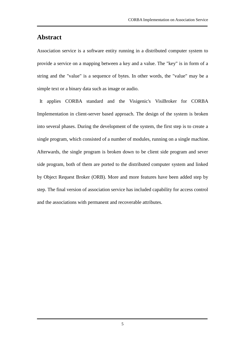### **Abstract**

Association service is a software entity running in a distributed computer system to provide a service on a mapping between a key and a value. The "key" is in form of a string and the "value" is a sequence of bytes. In other words, the "value" may be a simple text or a binary data such as image or audio.

It applies CORBA standard and the Visigenic's VisiBroker for CORBA Implementation in client-server based approach. The design of the system is broken into several phases. During the development of the system, the first step is to create a single program, which consisted of a number of modules, running on a single machine. Afterwards, the single program is broken down to be client side program and sever side program, both of them are ported to the distributed computer system and linked by Object Request Broker (ORB). More and more features have been added step by step. The final version of association service has included capability for access control and the associations with permanent and recoverable attributes.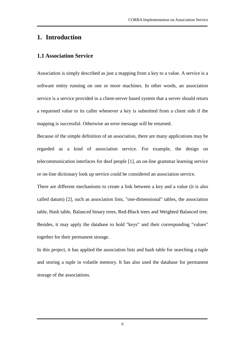# **1. Introduction**

### **1.1 Association Service**

Association is simply described as just a mapping from a key to a value. A service is a software entity running on one or more machines. In other words, an association service is a service provided in a client-server based system that a server should return a requested value to its caller whenever a key is submitted from a client side if the mapping is successful. Otherwise an error message will be returned.

Because of the simple definition of an association, there are many applications may be regarded as a kind of association service. For example, the design on telecommunication interfaces for deaf people [1], an on-line grammar learning service or on-line dictionary look up service could be considered an association service.

There are different mechanisms to create a link between a key and a value (it is also called datum) [2], such as association lists, "one-dimensional" tables, the association table, Hash table, Balanced binary trees, Red-Black trees and Weighted Balanced tree. Besides, it may apply the database to hold "keys" and their corresponding "values" together for their permanent storage.

In this project, it has applied the association lists and hash table for searching a tuple and storing a tuple in volatile memory. It has also used the database for permanent storage of the associations.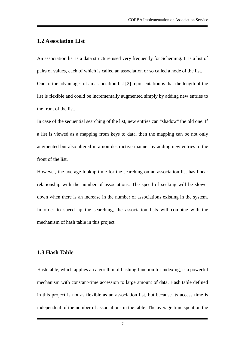#### **1.2 Association List**

An association list is a data structure used very frequently for Scheming. It is a list of pairs of values, each of which is called an association or so called a node of the list. One of the advantages of an association list [2] representation is that the length of the list is flexible and could be incrementally augmented simply by adding new entries to the front of the list.

In case of the sequential searching of the list, new entries can "shadow" the old one. If a list is viewed as a mapping from keys to data, then the mapping can be not only augmented but also altered in a non-destructive manner by adding new entries to the front of the list.

However, the average lookup time for the searching on an association list has linear relationship with the number of associations. The speed of seeking will be slower down when there is an increase in the number of associations existing in the system. In order to speed up the searching, the association lists will combine with the mechanism of hash table in this project.

#### **1.3 Hash Table**

Hash table, which applies an algorithm of hashing function for indexing, is a powerful mechanism with constant-time accession to large amount of data. Hash table defined in this project is not as flexible as an association list, but because its access time is independent of the number of associations in the table. The average time spent on the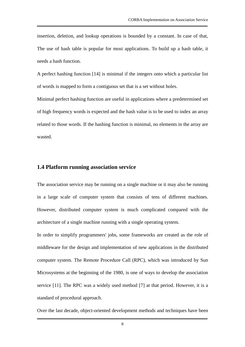insertion, deletion, and lookup operations is bounded by a constant. In case of that, The use of hash table is popular for most applications. To build up a hash table, it needs a hash function.

A perfect hashing function [14] is minimal if the integers onto which a particular list of words is mapped to form a contiguous set that is a set without holes.

Minimal perfect hashing function are useful in applications where a predetermined set of high frequency words is expected and the hash value is to be used to index an array related to those words. If the hashing function is minimal, no elements in the array are wasted.

#### **1.4 Platform running association service**

The association service may be running on a single machine or it may also be running in a large scale of computer system that consists of tens of different machines. However, distributed computer system is much complicated compared with the architecture of a single machine running with a single operating system.

In order to simplify programmers' jobs, some frameworks are created as the role of middleware for the design and implementation of new applications in the distributed computer system. The Remote Procedure Call (RPC), which was introduced by Sun Microsystems at the beginning of the 1980, is one of ways to develop the association service [11]. The RPC was a widely used method [7] at that period. However, it is a standard of procedural approach.

Over the last decade, object-oriented development methods and techniques have been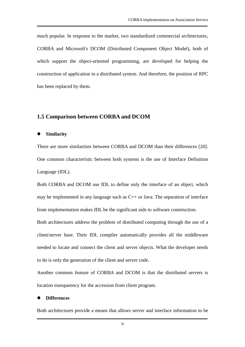much popular. In response to the market, two standardized commercial architectures, CORBA and Microsoft's DCOM (Distributed Component Object Model), both of which support the object-oriented programming, are developed for helping the construction of application in a distributed system. And therefore, the position of RPC has been replaced by them.

#### **1.5 Comparison between CORBA and DCOM**

**Similarity**

There are more similarities between CORBA and DCOM than their differences [20]. One common characteristic between both systems is the use of Interface Definition Language (IDL).

Both CORBA and DCOM use IDL to define only the interface of an object, which may be implemented in any language such as C++ or Java. The separation of interface from implementation makes IDL be the significant aids to software construction.

Both architectures address the problem of distributed computing through the use of a client/server base. Their IDL compiler automatically provides all the middleware needed to locate and connect the client and server objects. What the developer needs to do is only the generation of the client and server code.

Another common feature of CORBA and DCOM is that the distributed servers is location transparency for the accession from client program.

#### **Differences**

Both architectures provide a means that allows server and interface information to be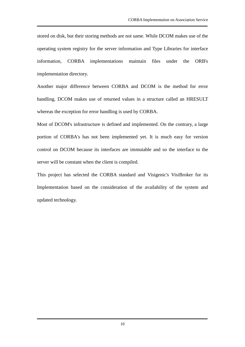stored on disk, but their storing methods are not same. While DCOM makes use of the operating system registry for the server information and Type Libraries for interface information, CORBA implementations maintain files under the ORB's implementation directory.

Another major difference between CORBA and DCOM is the method for error handling. DCOM makes use of returned values in a structure called an HRESULT whereas the exception for error handling is used by CORBA.

Most of DCOM's infrastructure is defined and implemented. On the contrary, a large portion of CORBA's has not been implemented yet. It is much easy for version control on DCOM because its interfaces are immutable and so the interface to the server will be constant when the client is compiled.

This project has selected the CORBA standard and Visigenic's VisiBroker for its Implementation based on the consideration of the availability of the system and updated technology.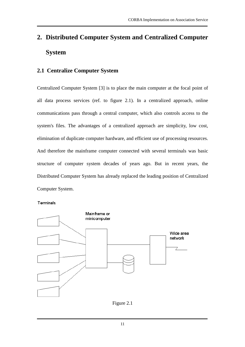# **2. Distributed Computer System and Centralized Computer System**

# **2.1 Centralize Computer System**

Centralized Computer System [3] is to place the main computer at the focal point of all data process services (ref. to figure 2.1). In a centralized approach, online communications pass through a central computer, which also controls access to the system's files. The advantages of a centralized approach are simplicity, low cost, elimination of duplicate computer hardware, and efficient use of processing resources. And therefore the mainframe computer connected with several terminals was basic structure of computer system decades of years ago. But in recent years, the Distributed Computer System has already replaced the leading position of Centralized Computer System.

#### Terminals



Figure 2.1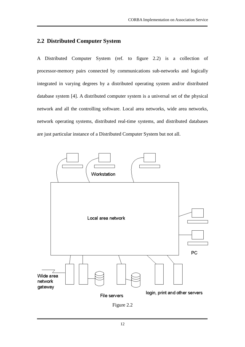### **2.2 Distributed Computer System**

A Distributed Computer System (ref. to figure 2.2) is a collection of processor-memory pairs connected by communications sub-networks and logically integrated in varying degrees by a distributed operating system and/or distributed database system [4]. A distributed computer system is a universal set of the physical network and all the controlling software. Local area networks, wide area networks, network operating systems, distributed real-time systems, and distributed databases are just particular instance of a Distributed Computer System but not all.



Figure 2.2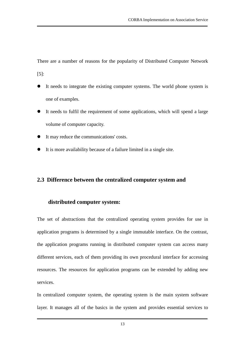There are a number of reasons for the popularity of Distributed Computer Network [5]:

- It needs to integrate the existing computer systems. The world phone system is one of examples.
- It needs to fulfil the requirement of some applications, which will spend a large volume of computer capacity.
- It may reduce the communications' costs.
- It is more availability because of a failure limited in a single site.

### **2.3 Difference between the centralized computer system and**

#### **distributed computer system:**

The set of abstractions that the centralized operating system provides for use in application programs is determined by a single immutable interface. On the contrast, the application programs running in distributed computer system can access many different services, each of them providing its own procedural interface for accessing resources. The resources for application programs can be extended by adding new services.

In centralized computer system, the operating system is the main system software layer. It manages all of the basics in the system and provides essential services to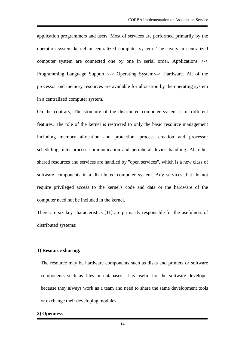application programmers and users. Most of services are performed primarily by the operation system kernel in centralized computer system. The layers in centralized computer system are connected one by one in serial order. Applications <-> Programming Language Support <-> Operating System<-> Hardware. All of the processor and memory resources are available for allocation by the operating system in a centralized computer system.

On the contrary, The structure of the distributed computer system is in different features. The role of the kernel is restricted to only the basic resource management including memory allocation and protection, process creation and processor scheduling, inter-process communication and peripheral device handling. All other shared resources and services are handled by "open services", which is a new class of software components in a distributed computer system. Any services that do not require privileged access to the kernel's code and data or the hardware of the computer need not be included in the kernel.

There are six key characteristics [11] are primarily responsible for the usefulness of distributed systems:

#### **1) Resource sharing:**

The resource may be hardware components such as disks and printers or software components such as files or databases. It is useful for the software developer because they always work as a team and need to share the same development tools or exchange their developing modules.

#### **2) Openness**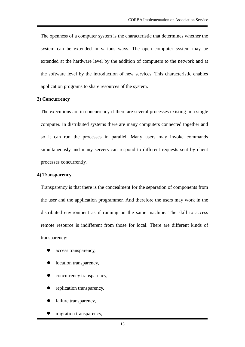The openness of a computer system is the characteristic that determines whether the system can be extended in various ways. The open computer system may be extended at the hardware level by the addition of computers to the network and at the software level by the introduction of new services. This characteristic enables application programs to share resources of the system.

#### **3) Concurrency**

The executions are in concurrency if there are several processes existing in a single computer. In distributed systems there are many computers connected together and so it can run the processes in parallel. Many users may invoke commands simultaneously and many servers can respond to different requests sent by client processes concurrently.

#### **4) Transparency**

Transparency is that there is the concealment for the separation of components from the user and the application programmer. And therefore the users may work in the distributed environment as if running on the same machine. The skill to access remote resource is indifferent from those for local. There are different kinds of transparency:

- access transparency,
- location transparency,
- concurrency transparency,
- replication transparency,
- failure transparency,
- migration transparency,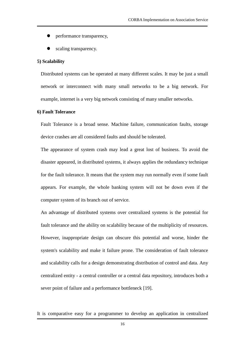- performance transparency,
- scaling transparency.

#### **5) Scalability**

Distributed systems can be operated at many different scales. It may be just a small network or interconnect with many small networks to be a big network. For example, internet is a very big network consisting of many smaller networks.

#### **6) Fault Tolerance**

Fault Tolerance is a broad sense. Machine failure, communication faults, storage device crashes are all considered faults and should be tolerated.

The appearance of system crash may lead a great lost of business. To avoid the disaster appeared, in distributed systems, it always applies the redundancy technique for the fault tolerance. It means that the system may run normally even if some fault appears. For example, the whole banking system will not be down even if the computer system of its branch out of service.

An advantage of distributed systems over centralized systems is the potential for fault tolerance and the ability on scalability because of the multiplicity of resources. However, inappropriate design can obscure this potential and worse, hinder the system's scalability and make it failure prone. The consideration of fault tolerance and scalability calls for a design demonstrating distribution of control and data. Any centralized entity - a central controller or a central data repository, introduces both a sever point of failure and a performance bottleneck [19].

It is comparative easy for a programmer to develop an application in centralized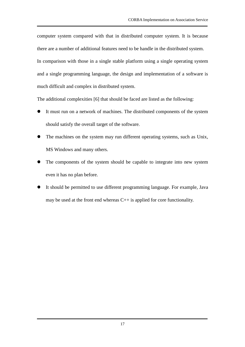computer system compared with that in distributed computer system. It is because there are a number of additional features need to be handle in the distributed system. In comparison with those in a single stable platform using a single operating system and a single programming language, the design and implementation of a software is much difficult and complex in distributed system.

The additional complexities [6] that should be faced are listed as the following:

- It must run on a network of machines. The distributed components of the system should satisfy the overall target of the software.
- The machines on the system may run different operating systems, such as Unix, MS Windows and many others.
- The components of the system should be capable to integrate into new system even it has no plan before.
- It should be permitted to use different programming language. For example, Java may be used at the front end whereas  $C_{++}$  is applied for core functionality.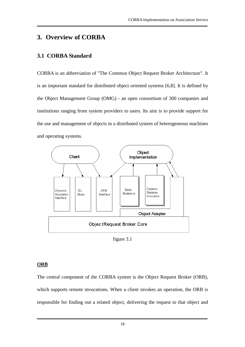# **3. Overview of CORBA**

# **3.1 CORBA Standard**

CORBA is an abbreviation of "The Common Object Request Broker Architecture". It is an important standard for distributed object oriented systems [6,8]. It is defined by the Object Management Group (OMG) - an open consortium of 300 companies and institutions ranging from system providers to users. Its aim is to provide support for the use and management of objects in a distributed system of heterogeneous machines and operating systems.



figure 3.1

### **ORB**

The central component of the CORBA system is the Object Request Broker (ORB), which supports remote invocations. When a client invokes an operation, the ORB is responsible for finding out a related object, delivering the request to that object and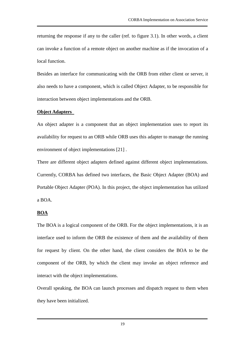returning the response if any to the caller (ref. to figure 3.1). In other words, a client can invoke a function of a remote object on another machine as if the invocation of a local function.

Besides an interface for communicating with the ORB from either client or server, it also needs to have a component, which is called Object Adapter, to be responsible for interaction between object implementations and the ORB.

#### **Object Adapters**

An object adapter is a component that an object implementation uses to report its availability for request to an ORB while ORB uses this adapter to manage the running environment of object implementations [21] .

There are different object adapters defined against different object implementations. Currently, CORBA has defined two interfaces, the Basic Object Adapter (BOA) and Portable Object Adapter (POA). In this project, the object implementation has utilized a BOA.

#### **BOA**

The BOA is a logical component of the ORB. For the object implementations, it is an interface used to inform the ORB the existence of them and the availability of them for request by client. On the other hand, the client considers the BOA to be the component of the ORB, by which the client may invoke an object reference and interact with the object implementations.

Overall speaking, the BOA can launch processes and dispatch request to them when they have been initialized.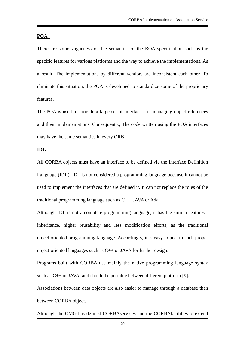#### **POA**

There are some vagueness on the semantics of the BOA specification such as the specific features for various platforms and the way to achieve the implementations. As a result, The implementations by different vendors are inconsistent each other. To eliminate this situation, the POA is developed to standardize some of the proprietary features.

The POA is used to provide a large set of interfaces for managing object references and their implementations. Consequently, The code written using the POA interfaces may have the same semantics in every ORB.

#### **IDL**

All CORBA objects must have an interface to be defined via the Interface Definition Language (IDL). IDL is not considered a programming language because it cannot be used to implement the interfaces that are defined it. It can not replace the roles of the traditional programming language such as C++, JAVA or Ada.

Although IDL is not a complete programming language, it has the similar features inheritance, higher reusability and less modification efforts, as the traditional object-oriented programming language. Accordingly, it is easy to port to such proper object-oriented languages such as C++ or JAVA for further design.

Programs built with CORBA use mainly the native programming language syntax such as C++ or JAVA, and should be portable between different platform [9].

Associations between data objects are also easier to manage through a database than between CORBA object.

Although the OMG has defined CORBAservices and the CORBAfacilities to extend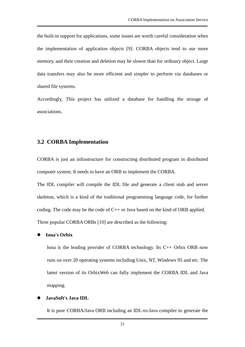the built-in support for applications, some issues are worth careful consideration when the implementation of application objects [9]: CORBA objects tend to use more memory, and their creation and deletion may be slower than for ordinary object. Large data transfers may also be more efficient and simpler to perform via databases or shared file systems.

Accordingly, This project has utilized a database for handling the storage of associations.

#### **3.2 CORBA Implementation**

CORBA is just an infrastructure for constructing distributed program in distributed computer system. It needs to have an ORB to implement the CORBA.

The IDL compiler will compile the IDL file and generate a client stub and server skeleton, which is a kind of the traditional programming language code, for further coding. The code may be the code of C++ or Java based on the kind of ORB applied. Three popular CORBA ORBs [10] are described as the following:

#### **Iona's Orbix**

Iona is the leading provider of CORBA technology. Its C++ Orbix ORB now runs on over 20 operating systems including Unix, NT, Windows 95 and etc. The latest version of its OrbixWeb can fully implement the CORBA IDL and Java mapping.

#### **JavaSoft's Java IDL**

It is pure CORBA/Java ORB including an IDL-to-Java compiler to generate the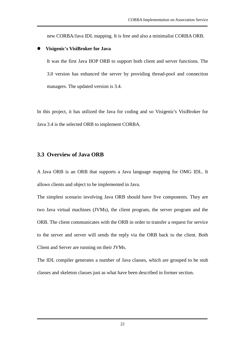new CORBA/Java IDL mapping. It is free and also a minimalist CORBA ORB.

#### **Visigenic's VisiBroker for Java**

It was the first Java IIOP ORB to support both client and server functions. The 3.0 version has enhanced the server by providing thread-pool and connection managers. The updated version is 3.4.

In this project, it has utilized the Java for coding and so Visigenic's VisiBroker for Java 3.4 is the selected ORB to implement CORBA.

#### **3.3 Overview of Java ORB**

A Java ORB is an ORB that supports a Java language mapping for OMG IDL. It allows clients and object to be implemented in Java.

The simplest scenario involving Java ORB should have five components. They are two Java virtual machines (JVMs), the client program, the server program and the ORB. The client communicates with the ORB in order to transfer a request for service to the server and server will sends the reply via the ORB back to the client. Both Client and Server are running on their JVMs.

The IDL compiler generates a number of Java classes, which are grouped to be stub classes and skeleton classes just as what have been described in former section.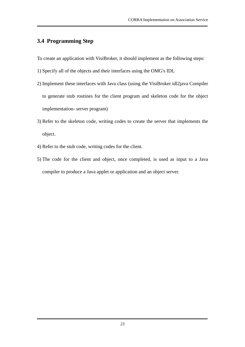# **3.4 Programming Step**

To create an application with VisiBroker, it should implement as the following steps:

- 1) Specify all of the objects and their interfaces using the OMG's IDL
- 2) Implement these interfaces with Java class (using the VisiBroker idl2java Compiler to generate stub routines for the client program and skeleton code for the object implementation- server program)
- 3) Refer to the skeleton code, writing codes to create the server that implements the object.
- 4) Refer to the stub code, writing codes for the client.
- 5) The code for the client and object, once completed, is used as input to a Java compiler to produce a Java applet or application and an object server.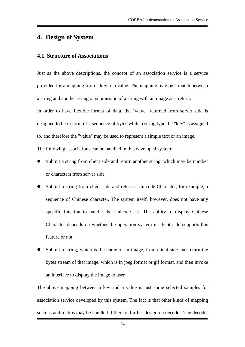# **4. Design of System**

#### **4.1 Structure of Associations**

Just as the above descriptions, the concept of an association service is a service provided for a mapping from a key to a value. The mapping may be a match between a string and another string or submission of a string with an image as a return.

In order to have flexible format of data, the "value" returned from server side is designed to be in form of a sequence of bytes while a string type the "key" is assigned to, and therefore the "value" may be used to represent a simple text or an image.

The following associations can be handled in this developed system:

- Submit a string from client side and return another string, which may be number or characters from server side.
- Submit a string from client side and return a Unicode Character, for example, a sequence of Chinese character. The system itself, however, does not have any specific function to handle the Unicode set. The ability to display Chinese Character depends on whether the operation system in client side supports this feature or not.
- Submit a string, which is the name of an image, from client side and return the bytes stream of that image, which is in jpeg format or gif format, and then invoke an interface to display the image to user.

The above mapping between a key and a value is just some selected samples for association service developed by this system. The fact is that other kinds of mapping such as audio clips may be handled if there is further design on decoder. The decoder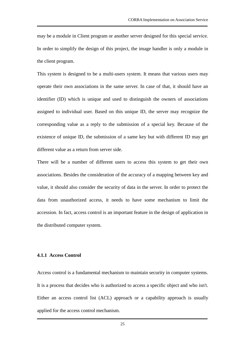may be a module in Client program or another server designed for this special service. In order to simplify the design of this project, the image handler is only a module in the client program.

This system is designed to be a multi-users system. It means that various users may operate their own associations in the same server. In case of that, it should have an identifier (ID) which is unique and used to distinguish the owners of associations assigned to individual user. Based on this unique ID, the server may recognize the corresponding value as a reply to the submission of a special key. Because of the existence of unique ID, the submission of a same key but with different ID may get different value as a return from server side.

There will be a number of different users to access this system to get their own associations. Besides the consideration of the accuracy of a mapping between key and value, it should also consider the security of data in the server. In order to protect the data from unauthorized access, it needs to have some mechanism to limit the accession. In fact, access control is an important feature in the design of application in the distributed computer system.

#### **4.1.1 Access Control**

Access control is a fundamental mechanism to maintain security in computer systems. It is a process that decides who is authorized to access a specific object and who isn't. Either an access control list (ACL) approach or a capability approach is usually applied for the access control mechanism.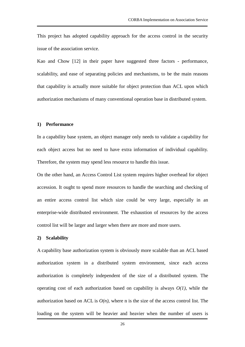This project has adopted capability approach for the access control in the security issue of the association service.

Kao and Chow [12] in their paper have suggested three factors - performance, scalability, and ease of separating policies and mechanisms, to be the main reasons that capability is actually more suitable for object protection than ACL upon which authorization mechanisms of many conventional operation base in distributed system.

#### **1) Performance**

In a capability base system, an object manager only needs to validate a capability for each object access but no need to have extra information of individual capability. Therefore, the system may spend less resource to handle this issue.

On the other hand, an Access Control List system requires higher overhead for object accession. It ought to spend more resources to handle the searching and checking of an entire access control list which size could be very large, especially in an enterprise-wide distributed environment. The exhaustion of resources by the access control list will be larger and larger when there are more and more users.

#### **2) Scalability**

A capability base authorization system is obviously more scalable than an ACL based authorization system in a distributed system environment, since each access authorization is completely independent of the size of a distributed system. The operating cost of each authorization based on capability is always *O(1)*, while the authorization based on ACL is  $O(n)$ , where n is the size of the access control list. The loading on the system will be heavier and heavier when the number of users is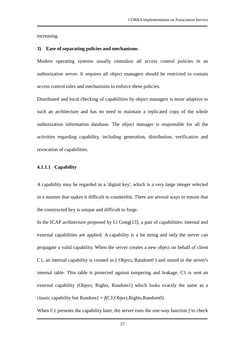increasing.

#### **3) Ease of separating policies and mechanisms**

Modern operating systems usually centralize all access control policies in an authorization server. It requires all object managers should be restricted to contain access control rules and mechanisms to enforce these policies.

Distributed and local checking of capabilities by object managers is more adaptive to such an architecture and has no need to maintain a replicated copy of the whole authorization information database. The object manager is responsible for all the activities regarding capability, including generation, distribution, verification and revocation of capabilities.

#### **4.1.1.1 Capability**

A capability may be regarded as a 'digital key', which is a very large integer selected in a manner that makes it difficult to counterfeit. There are several ways to ensure that the constructed key is unique and difficult to forge.

In the ICAP architecture proposed by Li Gong[13], a pair of capabilities: internal and external capabilities are applied. A capability is a bit string and only the server can propagate a valid capability. When the server creates a new object on behalf of client C1, an internal capability is created as ( Object, Random0 ) and stored in the server's internal table. This table is protected against tampering and leakage. C1 is sent an external capability (Object, Rights, Random1) which looks exactly the same as a classic capability but Random1 =  $f(C1, Object, Rights, Random0)$ .

When C1 presents the capability later, the server runs the one-way function *f* to check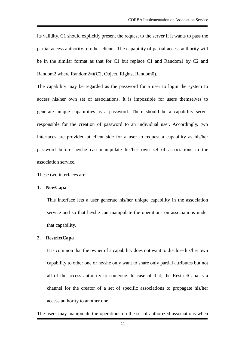its validity. C1 should explicitly present the request to the server if it wants to pass the partial access authority to other clients. The capability of partial access authority will be in the similar format as that for C1 but replace C1 and Random1 by C2 and Random2 where Random2=*f*(C2, Object, Rights, Random0).

The capability may be regarded as the password for a user to login the system to access his/her own set of associations. It is impossible for users themselves to generate unique capabilities as a password. There should be a capability server responsible for the creation of password to an individual user. Accordingly, two interfaces are provided at client side for a user to request a capability as his/her password before he/she can manipulate his/her own set of associations in the association service.

These two interfaces are:

#### **1. NewCapa**

This interface lets a user generate his/her unique capability in the association service and so that he/she can manipulate the operations on associations under that capability.

#### **2. RestrictCapa**

It is common that the owner of a capability does not want to disclose his/her own capability to other one or he/she only want to share only partial attributes but not all of the access authority to someone. In case of that, the RestrictCapa is a channel for the creator of a set of specific associations to propagate his/her access authority to another one.

The users may manipulate the operations on the set of authorized associations when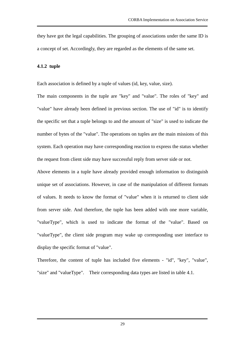they have got the legal capabilities. The grouping of associations under the same ID is a concept of set. Accordingly, they are regarded as the elements of the same set.

#### **4.1.2 tuple**

Each association is defined by a tuple of values (id, key, value, size).

The main components in the tuple are "key" and "value". The roles of "key" and "value" have already been defined in previous section. The use of "id" is to identify the specific set that a tuple belongs to and the amount of "size" is used to indicate the number of bytes of the "value". The operations on tuples are the main missions of this system. Each operation may have corresponding reaction to express the status whether the request from client side may have successful reply from server side or not.

Above elements in a tuple have already provided enough information to distinguish unique set of associations. However, in case of the manipulation of different formats of values. It needs to know the format of "value" when it is returned to client side from server side. And therefore, the tuple has been added with one more variable, "valueType", which is used to indicate the format of the "value". Based on "valueType", the client side program may wake up corresponding user interface to display the specific format of "value".

Therefore, the content of tuple has included five elements - "id", "key", "value", "size" and "valueType". Their corresponding data types are listed in table 4.1.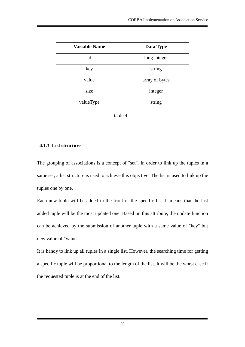| <b>Variable Name</b> | Data Type      |
|----------------------|----------------|
| id                   | long integer   |
| key                  | string         |
| value                | array of bytes |
| size                 | integer        |
| valueType            | string         |



#### **4.1.3 List structure**

The grouping of associations is a concept of "set". In order to link up the tuples in a same set, a list structure is used to achieve this objective. The list is used to link up the tuples one by one.

Each new tuple will be added in the front of the specific list. It means that the last added tuple will be the most updated one. Based on this attribute, the update function can be achieved by the submission of another tuple with a same value of "key" but new value of "value".

It is handy to link up all tuples in a single list. However, the searching time for getting a specific tuple will be proportional to the length of the list. It will be the worst case if the requested tuple is at the end of the list.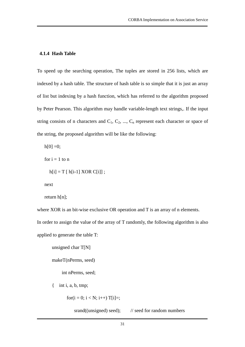#### **4.1.4 Hash Table**

To speed up the searching operation, The tuples are stored in 256 lists, which are indexed by a hash table. The structure of hash table is so simple that it is just an array of list but indexing by a hash function, which has referred to the algorithm proposed by Peter Pearson. This algorithm may handle variable-length text strings,. If the input string consists of n characters and  $C_1, C_2, ..., C_n$  represent each character or space of the string, the proposed algorithm will be like the following:

 $h[0] = 0;$ 

for  $i = 1$  to n

```
h[i] = T [ h[i-1] XOR C[i]] ;
```
next

```
return h[n];
```
where XOR is an bit-wise exclusive OR operation and T is an array of n elements.

In order to assign the value of the array of T randomly, the following algorithm is also

applied to generate the table T:

unsigned char T[N]

makeT(nPerms, seed)

int nPerms, seed;

 $\{$  int i, a, b, tmp;

for(i = 0; i < N; i++) T[i]=;

srand((unsigned) seed);  $\frac{1}{2}$  // seed for random numbers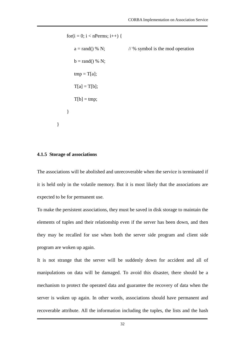for(i = 0; i < nPerms; i++) {  $a = rand() % N;$  // % symbol is the mod operation  $b = \text{rand}() % N;$  $tmp = T[a];$  $T[a] = T[b]$ ;  $T[b] = \text{tmp};$ }

#### **4.1.5 Storage of associations**

}

The associations will be abolished and unrecoverable when the service is terminated if it is held only in the volatile memory. But it is most likely that the associations are expected to be for permanent use.

To make the persistent associations, they must be saved in disk storage to maintain the elements of tuples and their relationship even if the server has been down, and then they may be recalled for use when both the server side program and client side program are woken up again.

It is not strange that the server will be suddenly down for accident and all of manipulations on data will be damaged. To avoid this disaster, there should be a mechanism to protect the operated data and guarantee the recovery of data when the server is woken up again. In other words, associations should have permanent and recoverable attribute. All the information including the tuples, the lists and the hash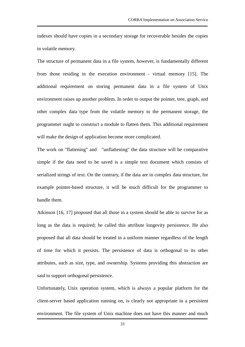indexes should have copies in a secondary storage for recoverable besides the copies in volatile memory.

The structure of permanent data in a file system, however, is fundamentally different from those residing in the execution environment - virtual memory [15]. The additional requirement on storing permanent data in a file system of Unix environment raises up another problem. In order to output the pointer, tree, graph, and other complex data type from the volatile memory to the permanent storage, the programmer ought to construct a module to flatten them. This additional requirement will make the design of application become more complicated.

The work on "flattening" and "unflattening" the data structure will be comparative simple if the data need to be saved is a simple text document which consists of serialized strings of text. On the contrary, if the data are in complex data structure, for example pointer-based structure, it will be much difficult for the programmer to handle them.

Atkinson [16, 17] proposed that all those in a system should be able to survive for as long as the data is required; he called this attribute longevity persistence. He also proposed that all data should be treated in a uniform manner regardless of the length of time for which it persists. The persistence of data is orthogonal to its other attributes, such as size, type, and ownership. Systems providing this abstraction are said to support orthogonal persistence.

Unfortunately, Unix operation system, which is always a popular platform for the client-server based application running on, is clearly not appropriate in a persistent environment. The file system of Unix machine does not have this manner and much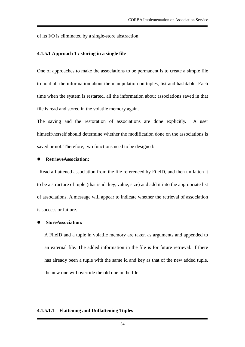of its I/O is eliminated by a single-store abstraction.

#### **4.1.5.1 Approach 1 : storing in a single file**

One of approaches to make the associations to be permanent is to create a simple file to hold all the information about the manipulation on tuples, list and hashtable. Each time when the system is restarted, all the information about associations saved in that file is read and stored in the volatile memory again.

The saving and the restoration of associations are done explicitly. A user himself/herself should determine whether the modification done on the associations is saved or not. Therefore, two functions need to be designed:

#### **RetrieveAssociation:**

Read a flattened association from the file referenced by FileID, and then unflatten it to be a structure of tuple (that is id, key, value, size) and add it into the appropriate list of associations. A message will appear to indicate whether the retrieval of association is success or failure.

#### **StoreAssociation:**

A FileID and a tuple in volatile memory are taken as arguments and appended to an external file. The added information in the file is for future retrieval. If there has already been a tuple with the same id and key as that of the new added tuple, the new one will override the old one in the file.

#### **4.1.5.1.1 Flattening and Unflattening Tuples**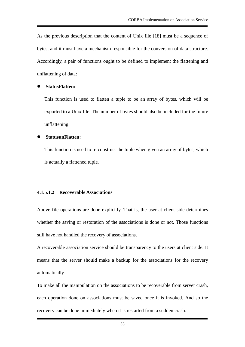As the previous description that the content of Unix file [18] must be a sequence of bytes, and it must have a mechanism responsible for the conversion of data structure. Accordingly, a pair of functions ought to be defined to implement the flattening and unflattening of data:

#### **StatusFlatten:**

This function is used to flatten a tuple to be an array of bytes, which will be exported to a Unix file. The number of bytes should also be included for the future unflattening.

#### **StatusunFlatten:**

This function is used to re-construct the tuple when given an array of bytes, which is actually a flattened tuple.

#### **4.1.5.1.2 Recoverable Associations**

Above file operations are done explicitly. That is, the user at client side determines whether the saving or restoration of the associations is done or not. Those functions still have not handled the recovery of associations.

A recoverable association service should be transparency to the users at client side. It means that the server should make a backup for the associations for the recovery automatically.

To make all the manipulation on the associations to be recoverable from server crash, each operation done on associations must be saved once it is invoked. And so the recovery can be done immediately when it is restarted from a sudden crash.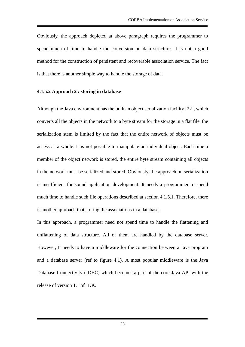Obviously, the approach depicted at above paragraph requires the programmer to spend much of time to handle the conversion on data structure. It is not a good method for the construction of persistent and recoverable association service. The fact is that there is another simple way to handle the storage of data.

#### **4.1.5.2 Approach 2 : storing in database**

Although the Java environment has the built-in object serialization facility [22], which converts all the objects in the network to a byte stream for the storage in a flat file, the serialization stem is limited by the fact that the entire network of objects must be access as a whole. It is not possible to manipulate an individual object. Each time a member of the object network is stored, the entire byte stream containing all objects in the network must be serialized and stored. Obviously, the approach on serialization is insufficient for sound application development. It needs a programmer to spend much time to handle such file operations described at section 4.1.5.1. Therefore, there is another approach that storing the associations in a database.

In this approach, a programmer need not spend time to handle the flattening and unflattening of data structure. All of them are handled by the database server. However, It needs to have a middleware for the connection between a Java program and a database server (ref to figure 4.1). A most popular middleware is the Java Database Connectivity (JDBC) which becomes a part of the core Java API with the release of version 1.1 of JDK.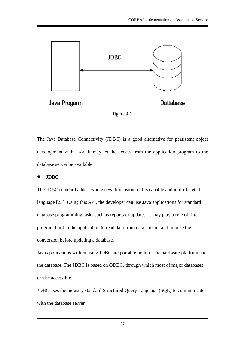

The Java Database Connectivity (JDBC) is a good alternative for persistent object development with Java. It may let the access from the application program to the database server be available.

## **JDBC**

The JDBC standard adds a whole new dimension to this capable and multi-faceted language [23]. Using this API, the developer can use Java applications for standard database programming tasks such as reports or updates. It may play a role of filter program built in the application to read data from data stream, and impose the conversion before updating a database.

Java applications written using JDBC are portable both for the hardware platform and the database. The JDBC is based on ODBC, through which most of major databases can be accessible.

JDBC uses the industry standard Structured Query Language (SQL) to communicate with the database server.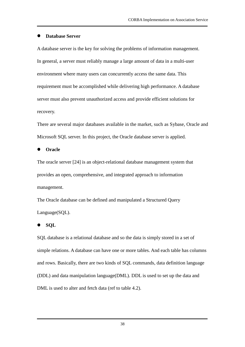### **Database Server**

A database server is the key for solving the problems of information management. In general, a server must reliably manage a large amount of data in a multi-user environment where many users can concurrently access the same data. This requirement must be accomplished while delivering high performance. A database server must also prevent unauthorized access and provide efficient solutions for recovery.

There are several major databases available in the market, such as Sybase, Oracle and Microsoft SQL server. In this project, the Oracle database server is applied.

**Oracle**

The oracle server [24] is an object-relational database management system that provides an open, comprehensive, and integrated approach to information management.

The Oracle database can be defined and manipulated a Structured Query Language(SQL).

#### **SQL**

SQL database is a relational database and so the data is simply stored in a set of simple relations. A database can have one or more tables. And each table has columns and rows. Basically, there are two kinds of SQL commands, data definition language (DDL) and data manipulation language(DML). DDL is used to set up the data and DML is used to alter and fetch data (ref to table 4.2).

38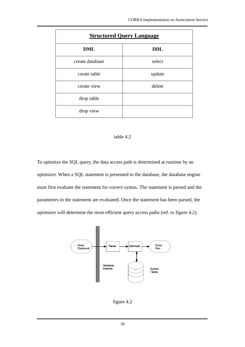| <b>Structured Query Language</b> |            |  |
|----------------------------------|------------|--|
| <b>DML</b>                       | <b>DDL</b> |  |
| create database                  | select     |  |
| create table                     | update     |  |
| create view                      | delete     |  |
| drop table                       |            |  |
| drop view                        |            |  |

### table 4.2

To optimize the SQL query, the data access path is determined at runtime by an optimizer. When a SQL statement is presented to the database, the database engine must first evaluate the statement for correct syntax. The statement is parsed and the parameters in the statement are evaluated. Once the statement has been parsed, the optimizer will determine the most efficient query access paths (ref. to figure 4.2).



figure 4.2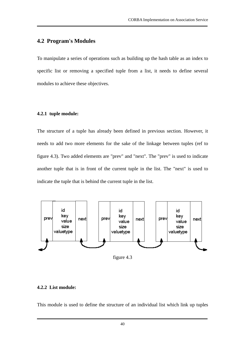## **4.2 Program's Modules**

To manipulate a series of operations such as building up the hash table as an index to specific list or removing a specified tuple from a list, it needs to define several modules to achieve these objectives.

### **4.2.1 tuple module:**

The structure of a tuple has already been defined in previous section. However, it needs to add two more elements for the sake of the linkage between tuples (ref to figure 4.3). Two added elements are "prev" and "next". The "prev" is used to indicate another tuple that is in front of the current tuple in the list. The "next" is used to indicate the tuple that is behind the current tuple in the list.



figure 4.3

### **4.2.2 List module:**

This module is used to define the structure of an individual list which link up tuples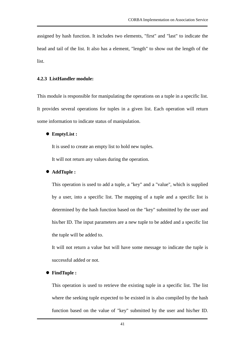assigned by hash function. It includes two elements, "first" and "last" to indicate the head and tail of the list. It also has a element, "length" to show out the length of the list.

### **4.2.3 ListHandler module:**

This module is responsible for manipulating the operations on a tuple in a specific list. It provides several operations for tuples in a given list. Each operation will return some information to indicate status of manipulation.

#### **EmptyList :**

It is used to create an empty list to hold new tuples.

It will not return any values during the operation.

### **AddTuple :**

This operation is used to add a tuple, a "key" and a "value", which is supplied by a user, into a specific list. The mapping of a tuple and a specific list is determined by the hash function based on the "key" submitted by the user and his/her ID. The input parameters are a new tuple to be added and a specific list the tuple will be added to.

It will not return a value but will have some message to indicate the tuple is successful added or not.

#### **FindTuple :**

This operation is used to retrieve the existing tuple in a specific list. The list where the seeking tuple expected to be existed in is also compiled by the hash function based on the value of "key" submitted by the user and his/her ID.

41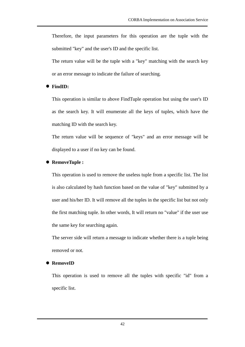Therefore, the input parameters for this operation are the tuple with the submitted "key" and the user's ID and the specific list.

The return value will be the tuple with a "key" matching with the search key or an error message to indicate the failure of searching.

## **FindID:**

This operation is similar to above FindTuple operation but using the user's ID as the search key. It will enumerate all the keys of tuples, which have the matching ID with the search key.

The return value will be sequence of "keys" and an error message will be displayed to a user if no key can be found.

### **RemoveTuple :**

This operation is used to remove the useless tuple from a specific list. The list is also calculated by hash function based on the value of "key" submitted by a user and his/her ID. It will remove all the tuples in the specific list but not only the first matching tuple. In other words, It will return no "value" if the user use the same key for searching again.

The server side will return a message to indicate whether there is a tuple being removed or not.

#### **RemoveID**

This operation is used to remove all the tuples with specific "id" from a specific list.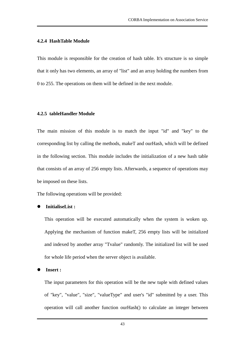#### **4.2.4 HashTable Module**

This module is responsible for the creation of hash table. It's structure is so simple that it only has two elements, an array of "list" and an array holding the numbers from 0 to 255. The operations on them will be defined in the next module.

### **4.2.5 tableHandler Module**

The main mission of this module is to match the input "id" and "key" to the corresponding list by calling the methods, makeT and ourHash, which will be defined in the following section. This module includes the initialization of a new hash table that consists of an array of 256 empty lists. Afterwards, a sequence of operations may be imposed on these lists.

The following operations will be provided:

## **InitialiseList :**

This operation will be executed automatically when the system is woken up. Applying the mechanism of function makeT, 256 empty lists will be initialized and indexed by another array "Tvalue" randomly. The initialized list will be used for whole life period when the server object is available.

**Insert :**

The input parameters for this operation will be the new tuple with defined values of "key", "value", "size", "valueType" and user's "id" submitted by a user. This operation will call another function ourHash() to calculate an integer between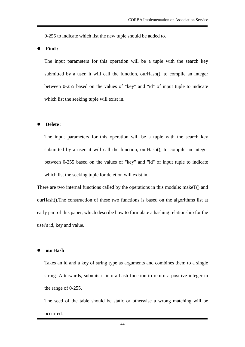0-255 to indicate which list the new tuple should be added to.

**Find :**

The input parameters for this operation will be a tuple with the search key submitted by a user. it will call the function, ourHash(), to compile an integer between 0-255 based on the values of "key" and "id" of input tuple to indicate which list the seeking tuple will exist in.

#### **Delete** :

The input parameters for this operation will be a tuple with the search key submitted by a user. it will call the function, ourHash(), to compile an integer between 0-255 based on the values of "key" and "id" of input tuple to indicate which list the seeking tuple for deletion will exist in.

There are two internal functions called by the operations in this module: makeT() and ourHash().The construction of these two functions is based on the algorithms list at early part of this paper, which describe how to formulate a hashing relationship for the user's id, key and value.

#### **ourHash**

Takes an id and a key of string type as arguments and combines them to a single string. Afterwards, submits it into a hash function to return a positive integer in the range of 0-255.

The seed of the table should be static or otherwise a wrong matching will be occurred.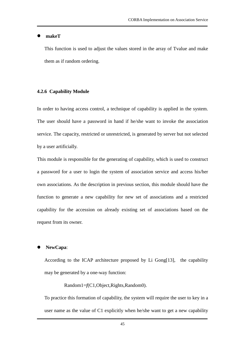#### **makeT**

This function is used to adjust the values stored in the array of Tvalue and make them as if random ordering.

#### **4.2.6 Capability Module**

In order to having access control, a technique of capability is applied in the system. The user should have a password in hand if he/she want to invoke the association service. The capacity, restricted or unrestricted, is generated by server but not selected by a user artificially.

This module is responsible for the generating of capability, which is used to construct a password for a user to login the system of association service and access his/her own associations. As the description in previous section, this module should have the function to generate a new capability for new set of associations and a restricted capability for the accession on already existing set of associations based on the request from its owner.

#### **NewCapa**:

According to the ICAP architecture proposed by Li Gong[13], the capability may be generated by a one-way function:

Random1=*f*(C1,Object,Rights,Random0).

To practice this formation of capability, the system will require the user to key in a user name as the value of C1 explicitly when he/she want to get a new capability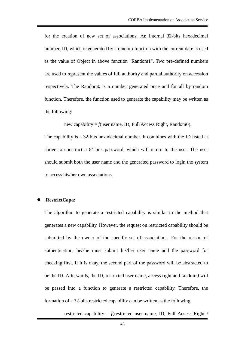for the creation of new set of associations. An internal 32-bits hexadecimal number, ID, which is generated by a random function with the current date is used as the value of Object in above function "Random1". Two pre-defined numbers are used to represent the values of full authority and partial authority on accession respectively. The Random0 is a number generated once and for all by random function. Therefore, the function used to generate the capability may be written as the following:

new capability =  $f$ (user name, ID, Full Access Right, Random0).

The capability is a 32-bits hexadecimal number. It combines with the ID listed at above to construct a 64-bits password, which will return to the user. The user should submit both the user name and the generated password to login the system to access his/her own associations.

#### **RestrictCapa**:

The algorithm to generate a restricted capability is similar to the method that generates a new capability. However, the request on restricted capability should be submitted by the owner of the specific set of associations. For the reason of authentication, he/she must submit his/her user name and the password for checking first. If it is okay, the second part of the password will be abstracted to be the ID. Afterwards, the ID, restricted user name, access right and random0 will be passed into a function to generate a restricted capability. Therefore, the formation of a 32-bits restricted capability can be written as the following:

restricted capability =  $f$ (restricted user name, ID, Full Access Right /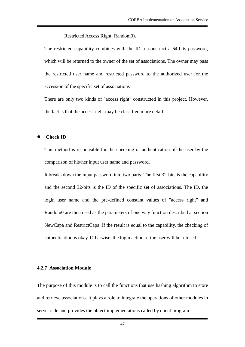Restricted Access Right, Random0).

The restricted capability combines with the ID to construct a 64-bits password, which will be returned to the owner of the set of associations. The owner may pass the restricted user name and restricted password to the authorized user for the accession of the specific set of associations

There are only two kinds of "access right" constructed in this project. However, the fact is that the access right may be classified more detail.

#### **Check ID**

This method is responsible for the checking of authentication of the user by the comparison of his/her input user name and password.

It breaks down the input password into two parts. The first 32-bits is the capability and the second 32-bits is the ID of the specific set of associations. The ID, the login user name and the pre-defined constant values of "access right" and Random0 are then used as the parameters of one way function described at section NewCapa and RestrictCapa. If the result is equal to the capability, the checking of authentication is okay. Otherwise, the login action of the user will be refused.

#### **4.2.7 Association Module**

The purpose of this module is to call the functions that use hashing algorithm to store and retrieve associations. It plays a role to integrate the operations of other modules in server side and provides the object implementations called by client program.

47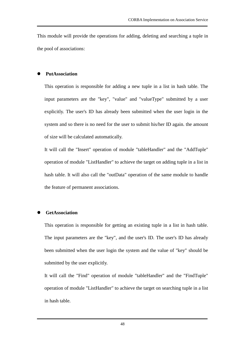This module will provide the operations for adding, deleting and searching a tuple in the pool of associations:

### **PutAssociation**

This operation is responsible for adding a new tuple in a list in hash table. The input parameters are the "key", "value" and "valueType" submitted by a user explicitly. The user's ID has already been submitted when the user login in the system and so there is no need for the user to submit his/her ID again. the amount of size will be calculated automatically.

It will call the "Insert" operation of module "tableHandler" and the "AddTuple" operation of module "ListHandler" to achieve the target on adding tuple in a list in hash table. It will also call the "outData" operation of the same module to handle the feature of permanent associations.

### **GetAssociation**

This operation is responsible for getting an existing tuple in a list in hash table. The input parameters are the "key", and the user's ID. The user's ID has already been submitted when the user login the system and the value of "key" should be submitted by the user explicitly.

It will call the "Find" operation of module "tableHandler" and the "FindTuple" operation of module "ListHandler" to achieve the target on searching tuple in a list in hash table.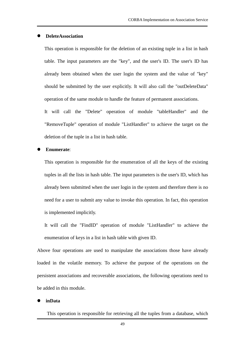#### **DeleteAssociation**

This operation is responsible for the deletion of an existing tuple in a list in hash table. The input parameters are the "key", and the user's ID. The user's ID has already been obtained when the user login the system and the value of "key" should be submitted by the user explicitly. It will also call the "outDeleteData" operation of the same module to handle the feature of permanent associations.

It will call the "Delete" operation of module "tableHandler" and the "RemoveTuple" operation of module "ListHandler" to achieve the target on the deletion of the tuple in a list in hash table.

#### **Enumerate**:

This operation is responsible for the enumeration of all the keys of the existing tuples in all the lists in hash table. The input parameters is the user's ID, which has already been submitted when the user login in the system and therefore there is no need for a user to submit any value to invoke this operation. In fact, this operation is implemented implicitly.

It will call the "FindID" operation of module "ListHandler" to achieve the enumeration of keys in a list in hash table with given ID.

Above four operations are used to manipulate the associations those have already loaded in the volatile memory. To achieve the purpose of the operations on the persistent associations and recoverable associations, the following operations need to be added in this module.

#### **inData**

This operation is responsible for retrieving all the tuples from a database, which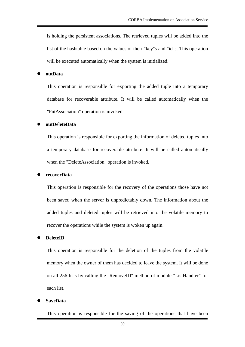is holding the persistent associations. The retrieved tuples will be added into the list of the hashtable based on the values of their "key"s and "id"s. This operation will be executed automatically when the system is initialized.

#### **outData**

This operation is responsible for exporting the added tuple into a temporary database for recoverable attribute. It will be called automatically when the "PutAssociation" operation is invoked.

#### **outDeleteData**

This operation is responsible for exporting the information of deleted tuples into a temporary database for recoverable attribute. It will be called automatically when the "DeleteAssociation" operation is invoked.

#### **recoverData**

This operation is responsible for the recovery of the operations those have not been saved when the server is unpredictably down. The information about the added tuples and deleted tuples will be retrieved into the volatile memory to recover the operations while the system is woken up again.

#### **DeleteID**

This operation is responsible for the deletion of the tuples from the volatile memory when the owner of them has decided to leave the system. It will be done on all 256 lists by calling the "RemoveID" method of module "ListHandler" for each list.

#### **SaveData**

This operation is responsible for the saving of the operations that have been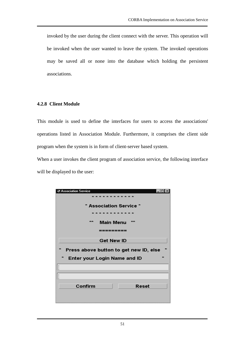invoked by the user during the client connect with the server. This operation will be invoked when the user wanted to leave the system. The invoked operations may be saved all or none into the database which holding the persistent associations.

## **4.2.8 Client Module**

This module is used to define the interfaces for users to access the associations' operations listed in Association Module. Furthermore, it comprises the client side program when the system is in form of client-server based system.

When a user invokes the client program of association service, the following interface will be displayed to the user:

| <b>Association Service</b>                             |  |
|--------------------------------------------------------|--|
|                                                        |  |
| * Association Service *                                |  |
| .                                                      |  |
| $\mathbf{z}$<br><b>Main Menu</b>                       |  |
| :========                                              |  |
| <b>Get New ID</b>                                      |  |
|                                                        |  |
| $\star$                                                |  |
| Press above button to get new ID, else<br>$\mathbf{r}$ |  |
| <b>Enter your Login Name and ID</b>                    |  |
| Ĭ                                                      |  |
|                                                        |  |
| , ,                                                    |  |
| Confirm<br><b>Reset</b>                                |  |
|                                                        |  |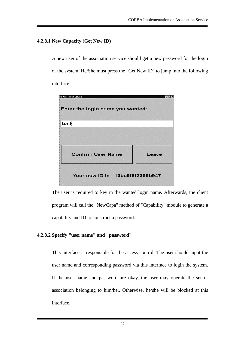## **4.2.8.1 New Capacity (Get New ID)**

A new user of the association service should get a new password for the login of the system. He/She must press the "Get New ID" to jump into the following interface:



The user is required to key in the wanted login name. Afterwards, the client program will call the "NewCapa" method of "Capability" module to generate a capability and ID to construct a password.

## **4.2.8.2 Specify "user name" and "password"**

This interface is responsible for the access control. The user should input the user name and corresponding password via this interface to login the system. If the user name and password are okay, the user may operate the set of association belonging to him/her. Otherwise, he/she will be blocked at this interface.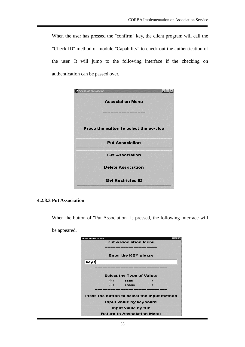When the user has pressed the "confirm" key, the client program will call the "Check ID" method of module "Capability" to check out the authentication of the user. It will jump to the following interface if the checking on authentication can be passed over.



#### **4.2.8.3 Put Association**

When the button of "Put Association" is pressed, the following interface will

be appeared.

| <b>Association Service</b><br><b>Put Association Menu</b> |  |  |
|-----------------------------------------------------------|--|--|
| <b>Enter the KEY please</b>                               |  |  |
| key1                                                      |  |  |
| ---------------------                                     |  |  |
| <b>Select the Type of Value:</b>                          |  |  |
| text<br>$\sim$ $\sim$<br>$\rightarrow$                    |  |  |
| image<br>⇔<<br>$\rightarrow$                              |  |  |
|                                                           |  |  |
| Press the button to select the input method               |  |  |
| Input value by keyboard                                   |  |  |
| Input value by file                                       |  |  |
| <b>Return to Association Menu</b>                         |  |  |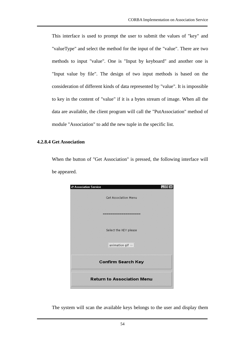This interface is used to prompt the user to submit the values of "key" and "valueType" and select the method for the input of the "value". There are two methods to input "value". One is "Input by keyboard" and another one is "Input value by file". The design of two input methods is based on the consideration of different kinds of data represented by "value". It is impossible to key in the content of "value" if it is a bytes stream of image. When all the data are available, the client program will call the "PutAssociation" method of module "Association" to add the new tuple in the specific list.

#### **4.2.8.4 Get Association**

When the button of "Get Association" is pressed, the following interface will be appeared.

| Association Service               |                             |
|-----------------------------------|-----------------------------|
|                                   | <b>Get Association Menu</b> |
|                                   |                             |
|                                   | -------------               |
|                                   |                             |
|                                   | Select the KEY please       |
|                                   |                             |
|                                   | animation gif $\Rightarrow$ |
|                                   |                             |
| <b>Confirm Search Key</b>         |                             |
| <b>Return to Association Menu</b> |                             |
|                                   |                             |

The system will scan the available keys belongs to the user and display them

54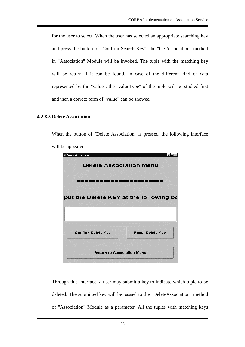for the user to select. When the user has selected an appropriate searching key and press the button of "Confirm Search Key", the "GetAssociation" method in "Association" Module will be invoked. The tuple with the matching key will be return if it can be found. In case of the different kind of data represented by the "value", the "valueType" of the tuple will be studied first and then a correct form of "value" can be showed.

### **4.2.8.5 Delete Association**

When the button of "Delete Association" is pressed, the following interface will be appeared.

| Association Service                    | - 101                   |  |
|----------------------------------------|-------------------------|--|
| <b>Delete Association Menu</b>         |                         |  |
| <b>┪═╉═╉═╫═╫═╫═╫═╫═╫═╫</b> ═╉          |                         |  |
| put the Delete KEY at the following bo |                         |  |
| ∏                                      |                         |  |
| <b>Confirm Delete Key</b>              | <b>Reset Delete Key</b> |  |
| <b>Return to Association Menu</b>      |                         |  |

Through this interface, a user may submit a key to indicate which tuple to be deleted. The submitted key will be passed to the "DeleteAssociation" method of "Association" Module as a parameter. All the tuples with matching keys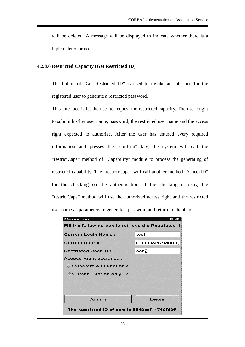will be deleted. A message will be displayed to indicate whether there is a tuple deleted or not.

### **4.2.8.6 Restricted Capacity (Get Restricted ID)**

The button of "Get Restricted ID" is used to invoke an interface for the registered user to generate a restricted password.

This interface is let the user to request the restricted capacity. The user ought to submit his/her user name, password, the restricted user name and the access right expected to authorize. After the user has entered every required information and presses the "confirm" key, the system will call the "restrictCapa" method of "Capability" module to process the generating of restricted capability. The "restrictCapa" will call another method, "CheckID" for the checking on the authentication. If the checking is okay, the "restrictCapa" method will use the authorized access right and the restricted user name as parameters to generate a password and return to client side.

| Association Service                                  |                         |
|------------------------------------------------------|-------------------------|
| Fill the following box to retrieve the Restricted II |                         |
|                                                      |                         |
| <b>Current Login Name:</b>                           | tesť                    |
| Current User ID :                                    | <b>រ19d9b8f4768fd95</b> |
| <b>Restricted User ID:</b>                           | sami                    |
| Access Right assigned :                              |                         |
| ◇< Operate All Function >                            |                         |
| ◈< Read Funtion only >                               |                         |
|                                                      |                         |
|                                                      |                         |
| Confirm                                              | Leave                   |
| The restricted ID of sam is 5648cef14768fd95         |                         |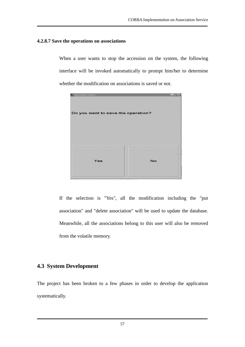### **4.2.8.7 Save the operations on associations**

When a user wants to stop the accession on the system, the following interface will be invoked automatically to prompt him/her to determine whether the modification on associations is saved or not.



If the selection is "Yes", all the modification including the "put association" and "delete association" will be used to update the database. Meanwhile, all the associations belong to this user will also be removed from the volatile memory.

# **4.3 System Development**

The project has been broken to a few phases in order to develop the application systematically.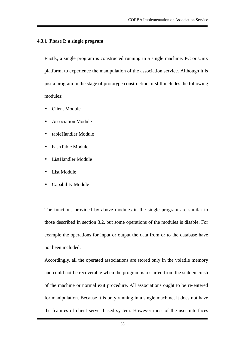#### **4.3.1 Phase I: a single program**

Firstly, a single program is constructed running in a single machine, PC or Unix platform, to experience the manipulation of the association service. Although it is just a program in the stage of prototype construction, it still includes the following modules:

- Client Module
- Association Module
- tableHandler Module
- hashTable Module
- ListHandler Module
- List Module
- Capability Module

The functions provided by above modules in the single program are similar to those described in section 3.2, but some operations of the modules is disable. For example the operations for input or output the data from or to the database have not been included.

Accordingly, all the operated associations are stored only in the volatile memory and could not be recoverable when the program is restarted from the sudden crash of the machine or normal exit procedure. All associations ought to be re-entered for manipulation. Because it is only running in a single machine, it does not have the features of client server based system. However most of the user interfaces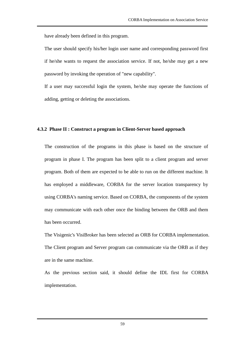have already been defined in this program.

The user should specify his/her login user name and corresponding password first if he/she wants to request the association service. If not, he/she may get a new password by invoking the operation of "new capability".

If a user may successful login the system, he/she may operate the functions of adding, getting or deleting the associations.

### **4.3.2 Phase II : Construct a program in Client-Server based approach**

The construction of the programs in this phase is based on the structure of program in phase I. The program has been split to a client program and server program. Both of them are expected to be able to run on the different machine. It has employed a middleware, CORBA for the server location transparency by using CORBA's naming service. Based on CORBA, the components of the system may communicate with each other once the binding between the ORB and them has been occurred.

The Visigenic's VisiBroker has been selected as ORB for CORBA implementation. The Client program and Server program can communicate via the ORB as if they are in the same machine.

As the previous section said, it should define the IDL first for CORBA implementation.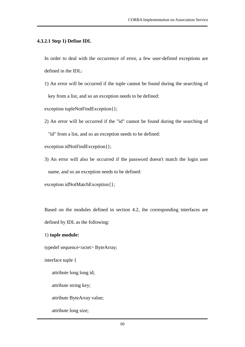### **4.3.2.1 Step 1) Define IDL**

In order to deal with the occurrence of error, a few user-defined exceptions are defined in the IDL:

1) An error will be occurred if the tuple cannot be found during the searching of key from a list, and so an exception needs to be defined:

exception tupleNotFindException{};

2) An error will be occurred if the "id" cannot be found during the searching of

"id" from a list, and so an exception needs to be defined:

exception idNotFindException{};

3) An error will also be occurred if the password doesn't match the login user name, and so an exception needs to be defined:

exception idNotMatchException{};

Based on the modules defined in section 4.2, the corresponding interfaces are defined by IDL as the following:

1) **tuple module:**

typedef sequence<octet> ByteArray;

interface tuple {

attribute long long id;

attribute string key;

attribute ByteArray value;

attribute long size;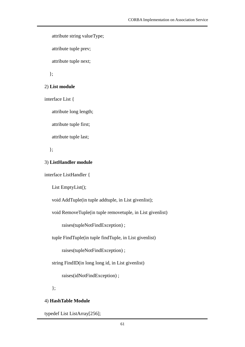```
attribute string valueType;
```
attribute tuple prev;

attribute tuple next;

};

### 2) **List module**

interface List {

attribute long length;

attribute tuple first;

attribute tuple last;

};

### 3) **ListHandler module**

interface ListHandler {

List EmptyList();

void AddTuple(in tuple addtuple, in List givenlist);

void RemoveTuple(in tuple removetuple, in List givenlist)

raises(tupleNotFindException) ;

tuple FindTuple(in tuple findTuple, in List givenlist)

raises(tupleNotFindException) ;

string FindID(in long long id, in List givenlist)

raises(idNotFindException) ;

};

### 4) **HashTable Module**

typedef List ListArray[256];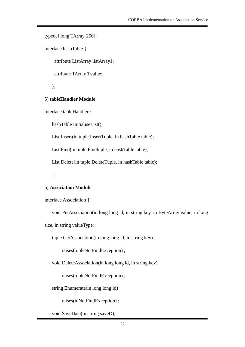typedef long TArray[256];

interface hashTable {

attribute ListArray listArray1;

attribute TArray Tvalue;

};

### 5) **tableHandler Module**

interface tableHandler {

hashTable InitialiseList();

List Insert(in tuple InsertTuple, in hashTable table);

List Find(in tuple Findtuple, in hashTable table);

List Delete(in tuple DeleteTuple, in hashTable table);

};

## 6) **Association Module**

interface Association {

void PutAssociation(in long long id, in string key, in ByteArray value, in long

size, in string valueType);

tuple GetAssociation(in long long id, in string key)

raises(tupleNotFindException) ;

void DeleteAssociation(in long long id, in string key)

raises(tupleNotFindException) ;

string Enumerate(in long long id)

raises(idNotFindException) ;

void SaveData(in string saveD);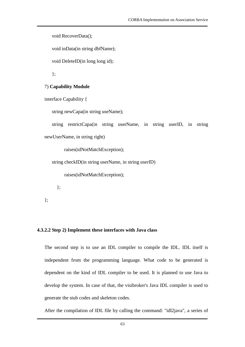void RecoverData();

void inData(in string dbfName);

void DeleteID(in long long id);

};

### 7) **Capability Module**

interface Capability {

string newCapa(in string useName);

string restrictCapa(in string userName, in string userID, in string newUserName, in string right)

raises(idNotMatchException);

string checkID(in string userName, in string userID)

raises(idNotMatchException);

};

};

#### **4.3.2.2 Step 2) Implement these interfaces with Java class**

The second step is to use an IDL compiler to compile the IDL. IDL itself is independent from the programming language. What code to be generated is dependent on the kind of IDL compiler to be used. It is planned to use Java to develop the system. In case of that, the visibroker's Java IDL compiler is used to generate the stub codes and skeleton codes.

After the compilation of IDL file by calling the command: "idl2java", a series of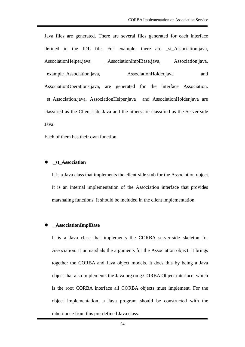Java files are generated. There are several files generated for each interface defined in the IDL file. For example, there are \_st\_Association.java, AssociationHelper.java, AssociationImplBase.java, Association.java, example Association.java, AssociationHolder.java and AssociationOperations.java, are generated for the interface Association. \_st\_Association.java, AssociationHelper.java and AssociationHolder.java are classified as the Client-side Java and the others are classified as the Server-side Java.

Each of them has their own function.

#### **\_st\_Association**

It is a Java class that implements the client-side stub for the Association object. It is an internal implementation of the Association interface that provides marshaling functions. It should be included in the client implementation.

#### **\_AssociationImplBase**

It is a Java class that implements the CORBA server-side skeleton for Association. It unmarshals the arguments for the Association object. It brings together the CORBA and Java object models. It does this by being a Java object that also implements the Java org.omg.CORBA.Object interface, which is the root CORBA interface all CORBA objects must implement. For the object implementation, a Java program should be constructed with the inheritance from this pre-defined Java class.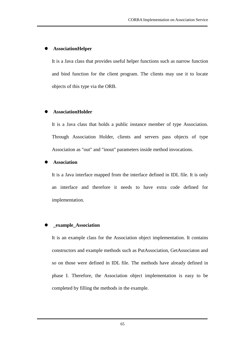## **AssociationHelper**

It is a Java class that provides useful helper functions such as narrow function and bind function for the client program. The clients may use it to locate objects of this type via the ORB.

## **AssociationHolder**

It is a Java class that holds a public instance member of type Association. Through Association Holder, clients and servers pass objects of type Association as "out" and "inout" parameters inside method invocations.

## **Association**

It is a Java interface mapped from the interface defined in IDL file. It is only an interface and therefore it needs to have extra code defined for implementation.

### **\_example\_Association**

It is an example class for the Association object implementation. It contains constructors and example methods such as PutAssociation, GetAssociaton and so on those were defined in IDL file. The methods have already defined in phase I. Therefore, the Association object implementation is easy to be completed by filling the methods in the example.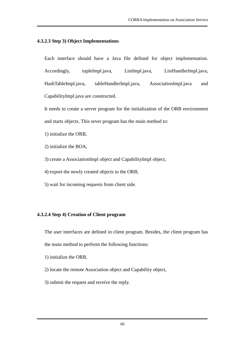### **4.3.2.3 Step 3) Object Implementations**

Each interface should have a Java file defined for object implementation. Accordingly, tupleImpl.java, ListImpl.java, ListHandlerImpl.java, HashTableImpl.java, tableHandlerImpl.java, AssociationImpl.java and CapabilityImpl.java are constructed.

It needs to create a server program for the initialization of the ORB environment and starts objects. This sever program has the main method to:

- 1) initialize the ORB,
- 2) initialize the BOA,
- 3) create a AssociationImpl object and CapabilityImpl object,
- 4) export the newly created objects to the ORB,
- 5) wait for incoming requests from client side.

## **4.3.2.4 Step 4) Creation of Client program**

The user interfaces are defined in client program. Besides, the client program has the main method to perform the following functions:

- 1) initialize the ORB,
- 2) locate the remote Association object and Capability object,
- 3) submit the request and receive the reply.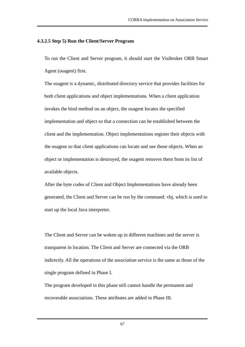### **4.3.2.5 Step 5) Run the Client/Server Program**

To run the Client and Server program, it should start the Visibroker ORB Smart Agent (osagent) first.

The osagent is a dynamic, distributed directory service that provides facilities for both client applications and object implementations. When a client application invokes the bind method on an object, the osagent locates the specified implementation and object so that a connection can be established between the client and the implementation. Object implementations register their objects with the osagent so that client applications can locate and use those objects. When an object or implementation is destroyed, the osagent removes them from its list of available objects.

After the byte codes of Client and Object Implementations have already been generated, the Client and Server can be run by the command: vbj, which is used to start up the local Java interpreter.

The Client and Server can be woken up in different machines and the server is transparent in location. The Client and Server are connected via the ORB indirectly. All the operations of the association service is the same as those of the single program defined in Phase I.

The program developed in this phase still cannot handle the permanent and recoverable associations. These attributes are added in Phase III.

67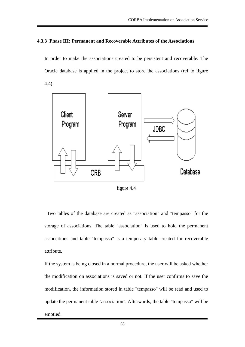## **4.3.3 Phase III: Permanent and Recoverable Attributes of the Associations**

In order to make the associations created to be persistent and recoverable. The Oracle database is applied in the project to store the associations (ref to figure 4.4).



figure 4.4

Two tables of the database are created as "association" and "tempasso" for the storage of associations. The table "association" is used to hold the permanent associations and table "tempasso" is a temporary table created for recoverable attribute.

If the system is being closed in a normal procedure, the user will be asked whether the modification on associations is saved or not. If the user confirms to save the modification, the information stored in table "tempasso" will be read and used to update the permanent table "association". Afterwards, the table "tempasso" will be emptied.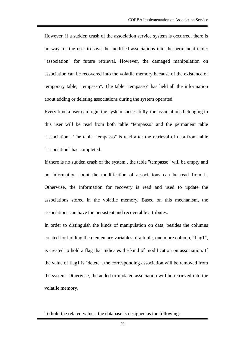However, if a sudden crash of the association service system is occurred, there is no way for the user to save the modified associations into the permanent table: "association" for future retrieval. However, the damaged manipulation on association can be recovered into the volatile memory because of the existence of temporary table, "tempasso". The table "tempasso" has held all the information about adding or deleting associations during the system operated.

Every time a user can login the system successfully, the associations belonging to this user will be read from both table "tempasso" and the permanent table "association". The table "tempasso" is read after the retrieval of data from table "association" has completed.

If there is no sudden crash of the system , the table "tempasso" will be empty and no information about the modification of associations can be read from it. Otherwise, the information for recovery is read and used to update the associations stored in the volatile memory. Based on this mechanism, the associations can have the persistent and recoverable attributes.

In order to distinguish the kinds of manipulation on data, besides the columns created for holding the elementary variables of a tuple, one more column, "flag1", is created to hold a flag that indicates the kind of modification on association. If the value of flag1 is "delete", the corresponding association will be removed from the system. Otherwise, the added or updated association will be retrieved into the volatile memory.

To hold the related values, the database is designed as the following: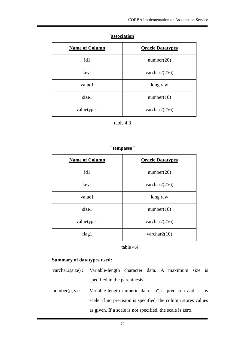| <b>Name of Column</b> | <b>Oracle Datatypes</b> |
|-----------------------|-------------------------|
| id1                   | number(20)              |
| key1                  | varchar $2(256)$        |
| value1                | long raw                |
| size1                 | number(10)              |
| valuetype1            | varchar $2(256)$        |

## **"association"**

table 4.3

## **"tempasso"**

| <b>Name of Column</b> | <b>Oracle Datatypes</b> |
|-----------------------|-------------------------|
| id1                   | number(20)              |
| key1                  | varchar $2(256)$        |
| value1                | long raw                |
| size1                 | number(10)              |
| valuetype1            | varchar $2(256)$        |
| flag1                 | varchar $2(10)$         |



## **Summary of datatypes used:**

- varchar2(size) : Variable-length character data. A maximum size is specified in the parenthesis.
- number(p, s) : Variable-length numeric data. "p" is precision and "s" is scale. if no precision is specified, the column stores values as given. If a scale is not specified, the scale is zero.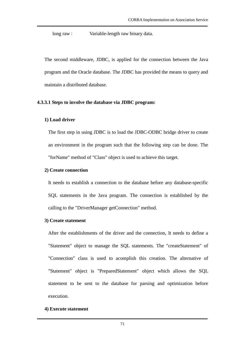long raw : Variable-length raw binary data.

The second middleware, JDBC, is applied for the connection between the Java program and the Oracle database. The JDBC has provided the means to query and maintain a distributed database.

## **4.3.3.1 Steps to involve the database via JDBC program:**

## **1) Load driver**

The first step in using JDBC is to load the JDBC-ODBC bridge driver to create an environment in the program such that the following step can be done. The "forName" method of "Class" object is used to achieve this target.

## **2) Create connection**

It needs to establish a connection to the database before any database-specific SQL statements in the Java program. The connection is established by the calling to the "DriverManager getConnection" method.

### **3) Create statement**

After the establishments of the driver and the connection, It needs to define a "Statement" object to manage the SQL statements. The "createStatement" of "Connection" class is used to acomplish this creation. The alternative of "Statement" object is "PreparedStatement" object which allows the SQL statement to be sent to the database for parsing and optimization before execution.

### **4) Execute statement**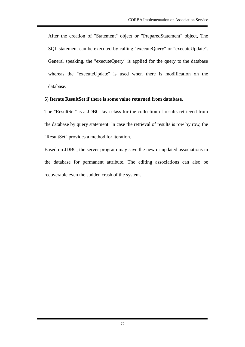After the creation of "Statement" object or "PreparedStatement" object, The SQL statement can be executed by calling "executeQuery" or "executeUpdate". General speaking, the "executeQuery" is applied for the query to the database whereas the "executeUpdate" is used when there is modification on the database.

## **5) Iterate ResultSet if there is some value returned from database.**

The "ResultSet" is a JDBC Java class for the collection of results retrieved from the database by query statement. In case the retrieval of results is row by row, the "ResultSet" provides a method for iteration.

Based on JDBC, the server program may save the new or updated associations in the database for permanent attribute. The editing associations can also be recoverable even the sudden crash of the system.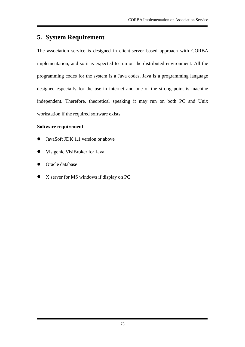# **5. System Requirement**

The association service is designed in client-server based approach with CORBA implementation, and so it is expected to run on the distributed environment. All the programming codes for the system is a Java codes. Java is a programming language designed especially for the use in internet and one of the strong point is machine independent. Therefore, theoretical speaking it may run on both PC and Unix workstation if the required software exists.

## **Software requirement**

- JavaSoft JDK 1.1 version or above
- Visigenic VisiBroker for Java
- **Oracle database**
- X server for MS windows if display on PC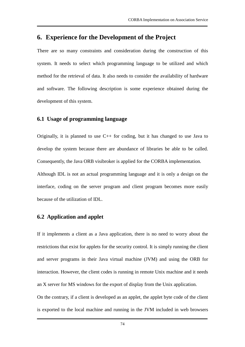## **6. Experience for the Development of the Project**

There are so many constraints and consideration during the construction of this system. It needs to select which programming language to be utilized and which method for the retrieval of data. It also needs to consider the availability of hardware and software. The following description is some experience obtained during the development of this system.

#### **6.1 Usage of programming language**

Originally, it is planned to use C++ for coding, but it has changed to use Java to develop the system because there are abundance of libraries be able to be called. Consequently, the Java ORB visibroker is applied for the CORBA implementation. Although IDL is not an actual programming language and it is only a design on the interface, coding on the server program and client program becomes more easily because of the utilization of IDL.

### **6.2 Application and applet**

If it implements a client as a Java application, there is no need to worry about the restrictions that exist for applets for the security control. It is simply running the client and server programs in their Java virtual machine (JVM) and using the ORB for interaction. However, the client codes is running in remote Unix machine and it needs an X server for MS windows for the export of display from the Unix application.

On the contrary, if a client is developed as an applet, the applet byte code of the client is exported to the local machine and running in the JVM included in web browsers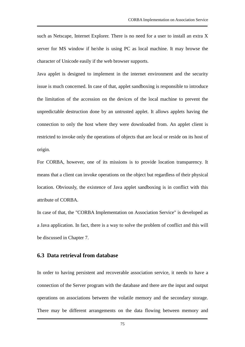such as Netscape, Internet Explorer. There is no need for a user to install an extra X server for MS window if he/she is using PC as local machine. It may browse the character of Unicode easily if the web browser supports.

Java applet is designed to implement in the internet environment and the security issue is much concerned. In case of that, applet sandboxing is responsible to introduce the limitation of the accession on the devices of the local machine to prevent the unpredictable destruction done by an untrusted applet. It allows applets having the connection to only the host where they were downloaded from. An applet client is restricted to invoke only the operations of objects that are local or reside on its host of origin.

For CORBA, however, one of its missions is to provide location transparency. It means that a client can invoke operations on the object but regardless of their physical location. Obviously, the existence of Java applet sandboxing is in conflict with this attribute of CORBA.

In case of that, the "CORBA Implementation on Association Service" is developed as a Java application. In fact, there is a way to solve the problem of conflict and this will be discussed in Chapter 7.

#### **6.3 Data retrieval from database**

In order to having persistent and recoverable association service, it needs to have a connection of the Server program with the database and there are the input and output operations on associations between the volatile memory and the secondary storage. There may be different arrangements on the data flowing between memory and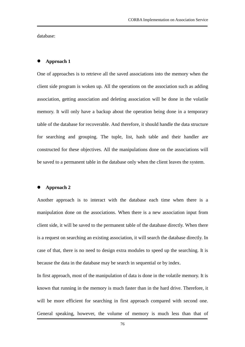database:

#### **Approach 1**

One of approaches is to retrieve all the saved associations into the memory when the client side program is woken up. All the operations on the association such as adding association, getting association and deleting association will be done in the volatile memory. It will only have a backup about the operation being done in a temporary table of the database for recoverable. And therefore, it should handle the data structure for searching and grouping. The tuple, list, hash table and their handler are constructed for these objectives. All the manipulations done on the associations will be saved to a permanent table in the database only when the client leaves the system.

#### **Approach 2**

Another approach is to interact with the database each time when there is a manipulation done on the associations. When there is a new association input from client side, it will be saved to the permanent table of the database directly. When there is a request on searching an existing association, it will search the database directly. In case of that, there is no need to design extra modules to speed up the searching. It is because the data in the database may be search in sequential or by index.

In first approach, most of the manipulation of data is done in the volatile memory. It is known that running in the memory is much faster than in the hard drive. Therefore, it will be more efficient for searching in first approach compared with second one. General speaking, however, the volume of memory is much less than that of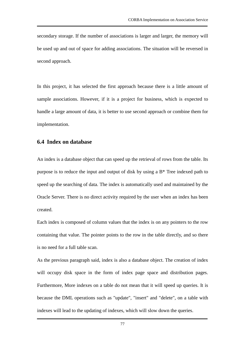secondary storage. If the number of associations is larger and larger, the memory will be used up and out of space for adding associations. The situation will be reversed in second approach.

In this project, it has selected the first approach because there is a little amount of sample associations. However, if it is a project for business, which is expected to handle a large amount of data, it is better to use second approach or combine them for implementation.

#### **6.4 Index on database**

An index is a database object that can speed up the retrieval of rows from the table. Its purpose is to reduce the input and output of disk by using a B\* Tree indexed path to speed up the searching of data. The index is automatically used and maintained by the Oracle Server. There is no direct activity required by the user when an index has been created.

Each index is composed of column values that the index is on any pointers to the row containing that value. The pointer points to the row in the table directly, and so there is no need for a full table scan.

As the previous paragraph said, index is also a database object. The creation of index will occupy disk space in the form of index page space and distribution pages. Furthermore, More indexes on a table do not mean that it will speed up queries. It is because the DML operations such as "update", "insert" and "delete", on a table with indexes will lead to the updating of indexes, which will slow down the queries.

77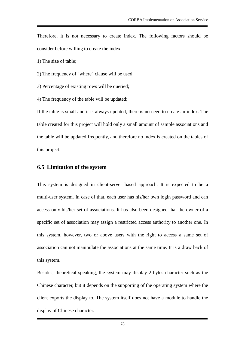Therefore, it is not necessary to create index. The following factors should be consider before willing to create the index:

1) The size of table;

2) The frequency of "where" clause will be used;

3) Percentage of existing rows will be queried;

4) The frequency of the table will be updated;

If the table is small and it is always updated, there is no need to create an index. The table created for this project will hold only a small amount of sample associations and the table will be updated frequently, and therefore no index is created on the tables of this project.

#### **6.5 Limitation of the system**

This system is designed in client-server based approach. It is expected to be a multi-user system. In case of that, each user has his/her own login password and can access only his/her set of associations. It has also been designed that the owner of a specific set of association may assign a restricted access authority to another one. In this system, however, two or above users with the right to access a same set of association can not manipulate the associations at the same time. It is a draw back of this system.

Besides, theoretical speaking, the system may display 2-bytes character such as the Chinese character, but it depends on the supporting of the operating system where the client exports the display to. The system itself does not have a module to handle the display of Chinese character.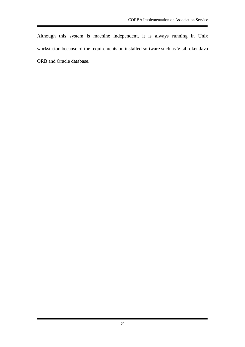Although this system is machine independent, it is always running in Unix workstation because of the requirements on installed software such as Visibroker Java ORB and Oracle database.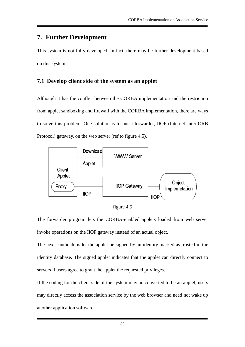## **7. Further Development**

This system is not fully developed. In fact, there may be further development based on this system.

## **7.1 Develop client side of the system as an applet**

Although it has the conflict between the CORBA implementation and the restriction from applet sandboxing and firewall with the CORBA implementation, there are ways to solve this problem. One solution is to put a forwarder, IIOP (Internet Inter-ORB Protocol) gateway, on the web server (ref to figure 4.5).





The forwarder program lets the CORBA-enabled applets loaded from web server invoke operations on the IIOP gateway instead of an actual object.

The next candidate is let the applet be signed by an identity marked as trusted in the identity database. The signed applet indicates that the applet can directly connect to servers if users agree to grant the applet the requested privileges.

If the coding for the client side of the system may be converted to be an applet, users may directly access the association service by the web browser and need not wake up another application software.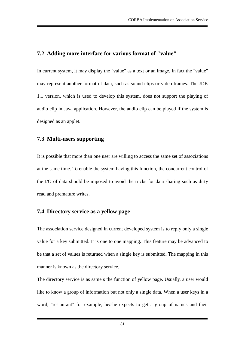## **7.2 Adding more interface for various format of "value"**

In current system, it may display the "value" as a text or an image. In fact the "value" may represent another format of data, such as sound clips or video frames. The JDK 1.1 version, which is used to develop this system, does not support the playing of audio clip in Java application. However, the audio clip can be played if the system is designed as an applet.

### **7.3 Multi-users supporting**

It is possible that more than one user are willing to access the same set of associations at the same time. To enable the system having this function, the concurrent control of the I/O of data should be imposed to avoid the tricks for data sharing such as dirty read and premature writes.

#### **7.4 Directory service as a yellow page**

The association service designed in current developed system is to reply only a single value for a key submitted. It is one to one mapping. This feature may be advanced to be that a set of values is returned when a single key is submitted. The mapping in this manner is known as the directory service.

The directory service is as same s the function of yellow page. Usually, a user would like to know a group of information but not only a single data. When a user keys in a word, "restaurant" for example, he/she expects to get a group of names and their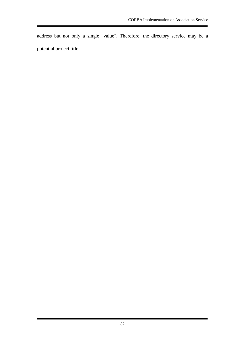address but not only a single "value". Therefore, the directory service may be a potential project title.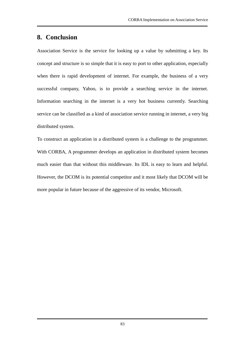# **8. Conclusion**

Association Service is the service for looking up a value by submitting a key. Its concept and structure is so simple that it is easy to port to other application, especially when there is rapid development of internet. For example, the business of a very successful company, Yahoo, is to provide a searching service in the internet. Information searching in the internet is a very hot business currently. Searching service can be classified as a kind of association service running in internet, a very big distributed system.

To construct an application in a distributed system is a challenge to the programmer. With CORBA, A programmer develops an application in distributed system becomes much easier than that without this middleware. Its IDL is easy to learn and helpful. However, the DCOM is its potential competitor and it most likely that DCOM will be more popular in future because of the aggressive of its vendor, Microsoft.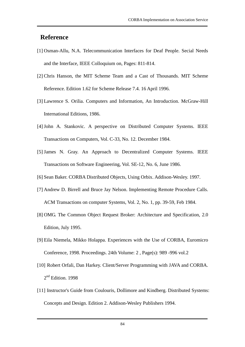# **Reference**

- [1] Osman-Allu, N.A. Telecommunication Interfaces for Deaf People. Secial Needs and the Interface, IEEE Colloquium on, Pages: 811-814.
- [2] Chris Hanson, the MIT Scheme Team and a Cast of Thousands. MIT Scheme Reference. Edition 1.62 for Scheme Release 7.4. 16 April 1996.
- [3] Lawrence S. Orilia. Computers and Information, An Introduction. McGraw-Hill International Editions, 1986.
- [4] John A. Stankovic. A perspective on Distributed Computer Systems. IEEE Transactions on Computers, Vol. C-33, No. 12. December 1984.
- [5] James N. Gray. An Approach to Decentralized Computer Systems. IEEE Transactions on Software Engineering, Vol. SE-12, No. 6, June 1986.
- [6] Sean Baker. CORBA Distributed Objects, Using Orbix. Addison-Wesley. 1997.
- [7] Andrew D. Birrell and Bruce Jay Nelson. Implementing Remote Procedure Calls. ACM Transactions on computer Systems, Vol. 2, No. 1, pp. 39-59, Feb 1984.
- [8] OMG. The Common Object Request Broker: Architecture and Specification, 2.0 Edition, July 1995.
- [9] Eila Niemela, Mikko Holappa. Experiences with the Use of CORBA, Euromicro Conference, 1998. Proceedings. 24th Volume: 2 , Page(s): 989 -996 vol.2
- [10] Robert Orfali, Dan Harkey. Client/Server Programming with JAVA and CORBA. 2<sup>nd</sup> Edition. 1998
- [11] Instructor's Guide from Coulouris, Dollimore and Kindberg. Distributed Systems: Concepts and Design. Edition 2. Addison-Wesley Publishers 1994.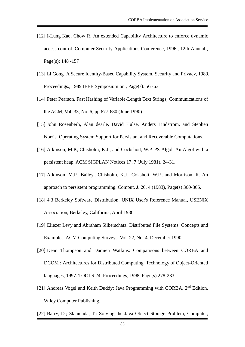- [12] I-Lung Kao, Chow R. An extended Capability Architecture to enforce dynamic access control. Computer Security Applications Conference, 1996., 12th Annual , Page(s): 148 -157
- [13] Li Gong. A Secure Identity-Based Capability System. Security and Privacy, 1989. Proceedings., 1989 IEEE Symposium on , Page(s): 56 -63
- [14] Peter Pearson. Fast Hashing of Variable-Length Text Strings, Communications of the ACM, Vol. 33, No. 6, pp 677-680 (June 1990)
- [15] John Rosenberh, Alan dearle, David Hulse, Anders Lindstrom, and Stephen Norris. Operating System Support for Persistant and Recoverable Computations.
- [16] Atkinson, M.P., Chisholm, K.J., and Cockshott, W.P. PS-Algol. An Algol with a persistent heap. ACM SIGPLAN Notices 17, 7 (July 1981), 24-31.
- [17] Atkinson, M.P., Bailey., Chisholm, K.J., Cokshott, W.P., and Morrison, R. An approach to persistent programming. Comput. J. 26, 4 (1983), Page(s) 360-365.
- [18] 4.3 Berkeley Software Distribution, UNIX User's Reference Manual, USENIX Association, Berkeley, California, April 1986.
- [19] Eliezer Levy and Abraham Silberschatz. Distributed File Systems: Concepts and Examples, ACM Computing Surveys, Vol. 22, No. 4, December 1990.
- [20] Dean Thompson and Damien Watkins: Comparisons between CORBA and DCOM : Architectures for Distributed Computing. Technology of Object-Oriented languages, 1997. TOOLS 24. Proceedings, 1998. Page(s) 278-283.
- [21] Andreas Vogel and Keith Duddy: Java Programming with CORBA, 2<sup>nd</sup> Edition, Wiley Computer Publishing.
- [22] Barry, D.; Stanienda, T.: Solving the Java Object Storage Problem, Computer,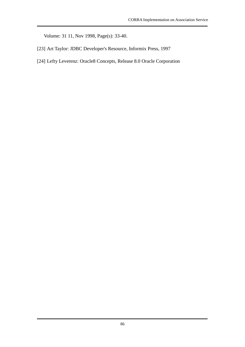Volume: 31 11, Nov 1998, Page(s): 33-40.

- [23] Art Taylor: JDBC Developer's Resource, Informix Press, 1997
- [24] Lefty Leverenz: Oracle8 Concepts, Release 8.0 Oracle Corporation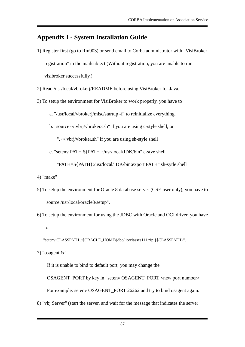# **Appendix I - System Installation Guide**

- 1) Register first (go to Rm903) or send email to Corba administrator with "VisiBroker registration" in the mailsubject.(Without registration, you are unable to run visibroker successfully.)
- 2) Read /usr/local/vbrokerj/README before using VisiBroker for Java.
- 3) To setup the environment for VisiBroker to work properly, you have to
	- a. "/usr/local/vbrokerj/misc/startup -f" to reinitialize everything.
	- b. "source ~/.vbrj/vbroker.csh" if you are using c-style shell, or

". ~/.vbrj/vbroker.sh" if you are using sh-style shell

c. "setenv PATH \${PATH}:/usr/local/JDK/bin" c-stye shell

"PATH=\${PATH}:/usr/local/JDK/bin;export PATH" sh-sytle shell

- 4) "make"
- 5) To setup the environment for Oracle 8 database server (CSE user only), you have to "source /usr/local/oracle8/setup".
- 6) To setup the environment for using the JDBC with Oracle and OCI driver, you have to

"setenv CLASSPATH .:\$ORACLE\_HOME/jdbc/lib/classes111.zip:{\$CLASSPATH}".

7) "osagent &"

If it is unable to bind to default port, you may change the

OSAGENT\_PORT by key in "setenv OSAGENT\_PORT <new port number>

For example: setenv OSAGENT\_PORT 26262 and try to bind osagent again.

8) "vbj Server" (start the server, and wait for the message that indicates the server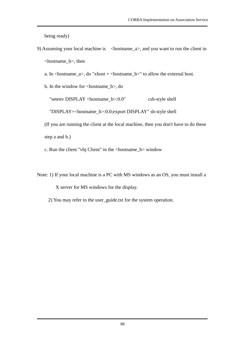being ready)

- 9) Assuming your local machine is <hostname\_a>, and you want to run the client in <hostname\_b>, then
	- a. In  $\alpha$ -hostname\_a>, do "xhost +  $\alpha$ -hostname\_b>" to allow the external host.

b. In the window for <hostname\_b>, do "setenv DISPLAY <hostname\_b>:0.0" csh-style shell "DISPLAY=<hostname\_b>:0.0;export DISPLAY" sh-style shell

(If you are running the client at the local machine, then you don't have to do these step a and b.)

c. Run the client "vbj Client" in the <hostname\_b> window

Note: 1) If your local machine is a PC with MS windows as an OS, you must install a

X server for MS windows for the display.

2) You may refer to the user\_guide.txt for the system operation.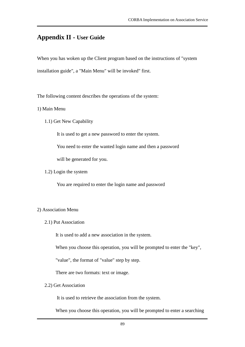# **Appendix II - User Guide**

When you has woken up the Client program based on the instructions of "system installation guide", a "Main Menu" will be invoked" first.

The following content describes the operations of the system:

1) Main Menu

1.1) Get New Capability

It is used to get a new password to enter the system.

You need to enter the wanted login name and then a password

will be generated for you.

1.2) Login the system

You are required to enter the login name and password

#### 2) Association Menu

2.1) Put Association

It is used to add a new association in the system.

When you choose this operation, you will be prompted to enter the "key",

"value", the format of "value" step by step.

There are two formats: text or image.

#### 2.2) Get Association

It is used to retrieve the association from the system.

When you choose this operation, you will be prompted to enter a searching